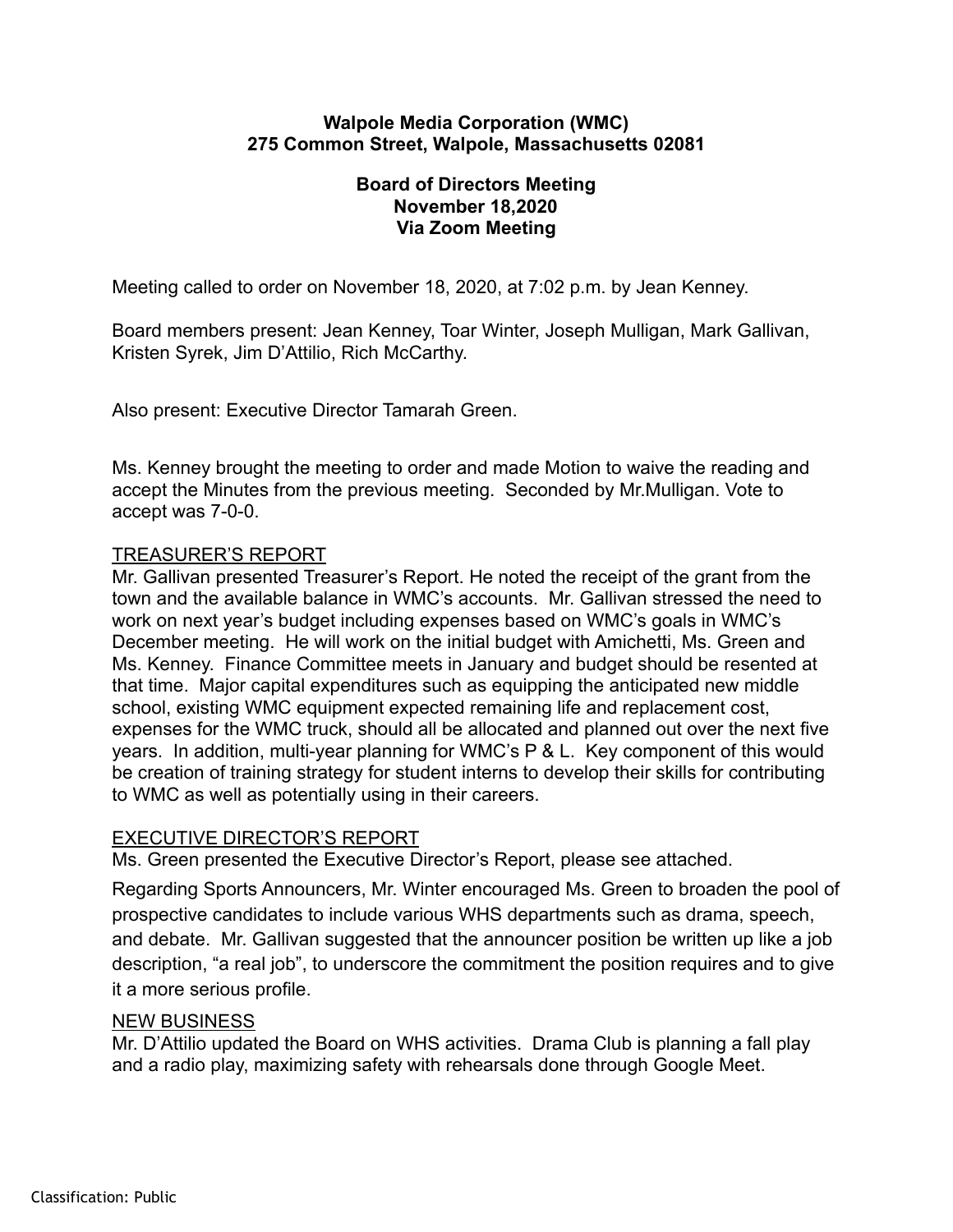#### **Walpole Media Corporation (WMC) 275 Common Street, Walpole, Massachusetts 02081**

## **Board of Directors Meeting November 18,2020 Via Zoom Meeting**

Meeting called to order on November 18, 2020, at 7:02 p.m. by Jean Kenney.

Board members present: Jean Kenney, Toar Winter, Joseph Mulligan, Mark Gallivan, Kristen Syrek, Jim D'Attilio, Rich McCarthy.

Also present: Executive Director Tamarah Green.

Ms. Kenney brought the meeting to order and made Motion to waive the reading and accept the Minutes from the previous meeting. Seconded by Mr.Mulligan. Vote to accept was 7-0-0.

# TREASURER'S REPORT

Mr. Gallivan presented Treasurer's Report. He noted the receipt of the grant from the town and the available balance in WMC's accounts. Mr. Gallivan stressed the need to work on next year's budget including expenses based on WMC's goals in WMC's December meeting. He will work on the initial budget with Amichetti, Ms. Green and Ms. Kenney. Finance Committee meets in January and budget should be resented at that time. Major capital expenditures such as equipping the anticipated new middle school, existing WMC equipment expected remaining life and replacement cost, expenses for the WMC truck, should all be allocated and planned out over the next five years. In addition, multi-year planning for WMC's P & L. Key component of this would be creation of training strategy for student interns to develop their skills for contributing to WMC as well as potentially using in their careers.

### EXECUTIVE DIRECTOR'S REPORT

Ms. Green presented the Executive Director's Report, please see attached.

Regarding Sports Announcers, Mr. Winter encouraged Ms. Green to broaden the pool of prospective candidates to include various WHS departments such as drama, speech, and debate. Mr. Gallivan suggested that the announcer position be written up like a job description, "a real job", to underscore the commitment the position requires and to give it a more serious profile.

### NEW BUSINESS

Mr. D'Attilio updated the Board on WHS activities. Drama Club is planning a fall play and a radio play, maximizing safety with rehearsals done through Google Meet.